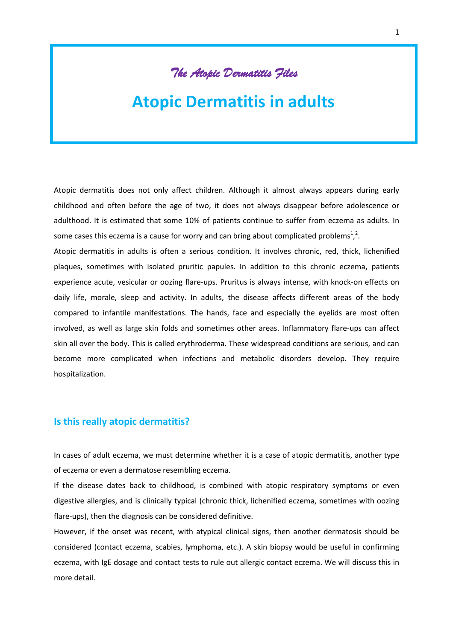# **The Atopic Dermatitis Files**

# **Atopic Dermatitis in adults**

Atopic dermatitis does not only affect children. Although it almost always appears during early childhood and often before the age of two, it does not always disappear before adolescence or adulthood. It is estimated that some 10% of patients continue to suffer from eczema as adults. In some cases this eczema is a cause for worry and can bring about complicated problems<sup>1</sup>,<sup>2</sup>.

Atopic dermatitis in adults is often a serious condition. It involves chronic, red, thick, lichenified plaques, sometimes with isolated pruritic papules. In addition to this chronic eczema, patients experience acute, vesicular or oozing flare-ups. Pruritus is always intense, with knock-on effects on daily life, morale, sleep and activity. In adults, the disease affects different areas of the body compared to infantile manifestations. The hands, face and especially the eyelids are most often involved, as well as large skin folds and sometimes other areas. Inflammatory flare-ups can affect skin all over the body. This is called erythroderma. These widespread conditions are serious, and can become more complicated when infections and metabolic disorders develop. They require hospitalization.

# **Is this really atopic dermatitis?**

In cases of adult eczema, we must determine whether it is a case of atopic dermatitis, another type of eczema or even a dermatose resembling eczema.

If the disease dates back to childhood, is combined with atopic respiratory symptoms or even digestive allergies, and is clinically typical (chronic thick, lichenified eczema, sometimes with oozing flare-ups), then the diagnosis can be considered definitive.

However, if the onset was recent, with atypical clinical signs, then another dermatosis should be considered (contact eczema, scabies, lymphoma, etc.). A skin biopsy would be useful in confirming eczema, with IgE dosage and contact tests to rule out allergic contact eczema. We will discuss this in more detail.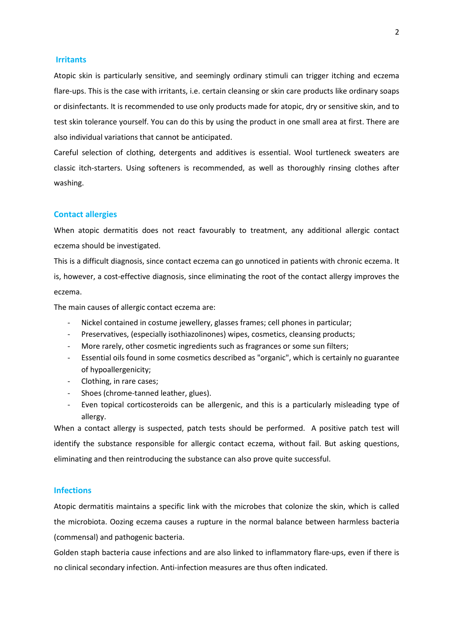#### **Irritants**

Atopic skin is particularly sensitive, and seemingly ordinary stimuli can trigger itching and eczema flare-ups. This is the case with irritants, i.e. certain cleansing or skin care products like ordinary soaps or disinfectants. It is recommended to use only products made for atopic, dry or sensitive skin, and to test skin tolerance yourself. You can do this by using the product in one small area at first. There are also individual variations that cannot be anticipated.

Careful selection of clothing, detergents and additives is essential. Wool turtleneck sweaters are classic itch-starters. Using softeners is recommended, as well as thoroughly rinsing clothes after washing.

#### **Contact allergies**

When atopic dermatitis does not react favourably to treatment, any additional allergic contact eczema should be investigated.

This is a difficult diagnosis, since contact eczema can go unnoticed in patients with chronic eczema. It is, however, a cost-effective diagnosis, since eliminating the root of the contact allergy improves the eczema.

The main causes of allergic contact eczema are:

- Nickel contained in costume jewellery, glasses frames; cell phones in particular;
- Preservatives, (especially isothiazolinones) wipes, cosmetics, cleansing products;
- More rarely, other cosmetic ingredients such as fragrances or some sun filters;
- Essential oils found in some cosmetics described as "organic", which is certainly no guarantee of hypoallergenicity;
- Clothing, in rare cases;
- Shoes (chrome-tanned leather, glues).
- Even topical corticosteroids can be allergenic, and this is a particularly misleading type of allergy.

When a contact allergy is suspected, patch tests should be performed. A positive patch test will identify the substance responsible for allergic contact eczema, without fail. But asking questions, eliminating and then reintroducing the substance can also prove quite successful.

#### **Infections**

Atopic dermatitis maintains a specific link with the microbes that colonize the skin, which is called the microbiota. Oozing eczema causes a rupture in the normal balance between harmless bacteria (commensal) and pathogenic bacteria.

Golden staph bacteria cause infections and are also linked to inflammatory flare-ups, even if there is no clinical secondary infection. Anti-infection measures are thus often indicated.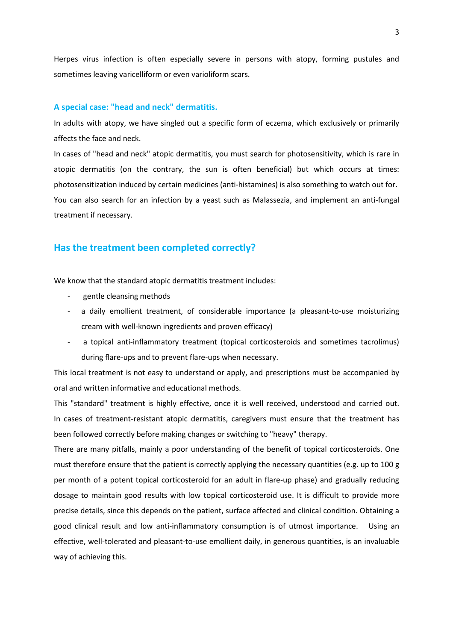Herpes virus infection is often especially severe in persons with atopy, forming pustules and sometimes leaving varicelliform or even varioliform scars.

#### **A special case: "head and neck" dermatitis.**

In adults with atopy, we have singled out a specific form of eczema, which exclusively or primarily affects the face and neck.

In cases of "head and neck" atopic dermatitis, you must search for photosensitivity, which is rare in atopic dermatitis (on the contrary, the sun is often beneficial) but which occurs at times: photosensitization induced by certain medicines (anti-histamines) is also something to watch out for. You can also search for an infection by a yeast such as Malassezia, and implement an anti-fungal treatment if necessary.

# **Has the treatment been completed correctly?**

We know that the standard atopic dermatitis treatment includes:

- gentle cleansing methods
- a daily emollient treatment, of considerable importance (a pleasant-to-use moisturizing cream with well-known ingredients and proven efficacy)
- a topical anti-inflammatory treatment (topical corticosteroids and sometimes tacrolimus) during flare-ups and to prevent flare-ups when necessary.

This local treatment is not easy to understand or apply, and prescriptions must be accompanied by oral and written informative and educational methods.

This "standard" treatment is highly effective, once it is well received, understood and carried out. In cases of treatment-resistant atopic dermatitis, caregivers must ensure that the treatment has been followed correctly before making changes or switching to "heavy" therapy.

There are many pitfalls, mainly a poor understanding of the benefit of topical corticosteroids. One must therefore ensure that the patient is correctly applying the necessary quantities (e.g. up to 100 g per month of a potent topical corticosteroid for an adult in flare-up phase) and gradually reducing dosage to maintain good results with low topical corticosteroid use. It is difficult to provide more precise details, since this depends on the patient, surface affected and clinical condition. Obtaining a good clinical result and low anti-inflammatory consumption is of utmost importance. Using an effective, well-tolerated and pleasant-to-use emollient daily, in generous quantities, is an invaluable way of achieving this.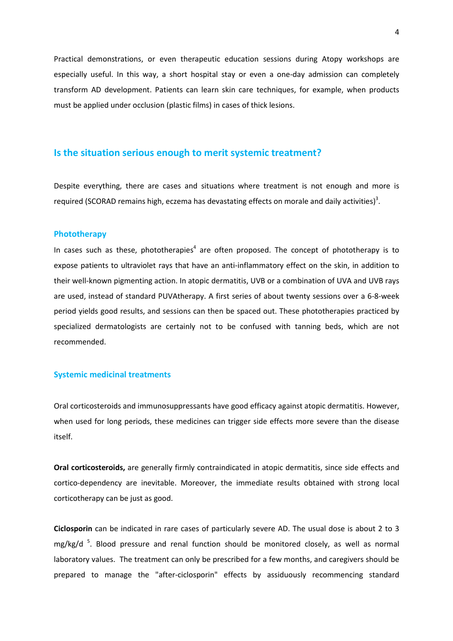Practical demonstrations, or even therapeutic education sessions during Atopy workshops are especially useful. In this way, a short hospital stay or even a one-day admission can completely transform AD development. Patients can learn skin care techniques, for example, when products must be applied under occlusion (plastic films) in cases of thick lesions.

## **Is the situation serious enough to merit systemic treatment?**

Despite everything, there are cases and situations where treatment is not enough and more is required (SCORAD remains high, eczema has devastating effects on morale and daily activities)<sup>3</sup>.

#### **Phototherapy**

In cases such as these, phototherapies<sup>4</sup> are often proposed. The concept of phototherapy is to expose patients to ultraviolet rays that have an anti-inflammatory effect on the skin, in addition to their well-known pigmenting action. In atopic dermatitis, UVB or a combination of UVA and UVB rays are used, instead of standard PUVAtherapy. A first series of about twenty sessions over a 6-8-week period yields good results, and sessions can then be spaced out. These phototherapies practiced by specialized dermatologists are certainly not to be confused with tanning beds, which are not recommended.

#### **Systemic medicinal treatments**

Oral corticosteroids and immunosuppressants have good efficacy against atopic dermatitis. However, when used for long periods, these medicines can trigger side effects more severe than the disease itself.

**Oral corticosteroids,** are generally firmly contraindicated in atopic dermatitis, since side effects and cortico-dependency are inevitable. Moreover, the immediate results obtained with strong local corticotherapy can be just as good.

**Ciclosporin** can be indicated in rare cases of particularly severe AD. The usual dose is about 2 to 3 mg/kg/d<sup>5</sup>. Blood pressure and renal function should be monitored closely, as well as normal laboratory values. The treatment can only be prescribed for a few months, and caregivers should be prepared to manage the "after-ciclosporin" effects by assiduously recommencing standard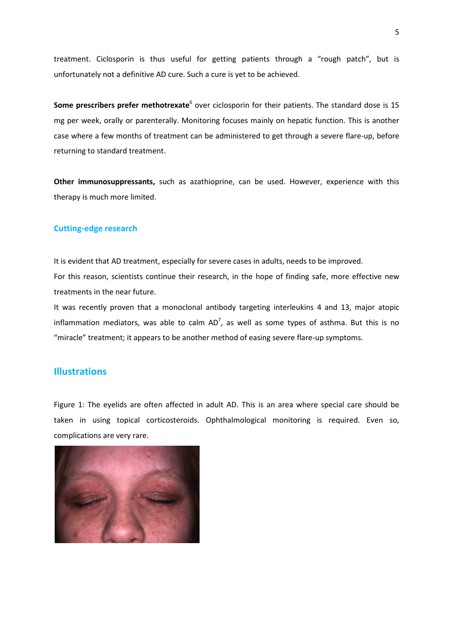treatment. Ciclosporin is thus useful for getting patients through a "rough patch", but is unfortunately not a definitive AD cure. Such a cure is yet to be achieved.

**Some prescribers prefer methotrexate**<sup>6</sup> over ciclosporin for their patients. The standard dose is 15 mg per week, orally or parenterally. Monitoring focuses mainly on hepatic function. This is another case where a few months of treatment can be administered to get through a severe flare-up, before returning to standard treatment.

**Other immunosuppressants,** such as azathioprine, can be used. However, experience with this therapy is much more limited.

### **Cutting-edge research**

It is evident that AD treatment, especially for severe cases in adults, needs to be improved. For this reason, scientists continue their research, in the hope of finding safe, more effective new treatments in the near future.

It was recently proven that a monoclonal antibody targeting interleukins 4 and 13, major atopic inflammation mediators, was able to calm  $AD^7$ , as well as some types of asthma. But this is no "miracle" treatment; it appears to be another method of easing severe flare-up symptoms.

# **Illustrations**

Figure 1: The eyelids are often affected in adult AD. This is an area where special care should be taken in using topical corticosteroids. Ophthalmological monitoring is required. Even so, complications are very rare.

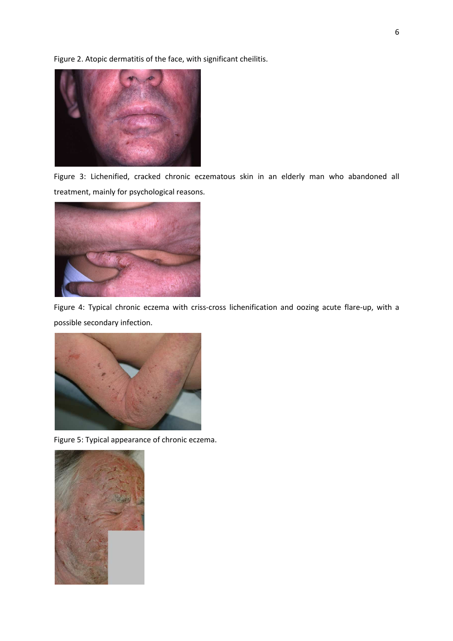Figure 2. Atopic dermatitis of the face, with significant cheilitis.



Figure 3: Lichenified, cracked chronic eczematous skin in an elderly man who abandoned all treatment, mainly for psychological reasons.



Figure 4: Typical chronic eczema with criss-cross lichenification and oozing acute flare-up, with a possible secondary infection.



Figure 5: Typical appearance of chronic eczema.